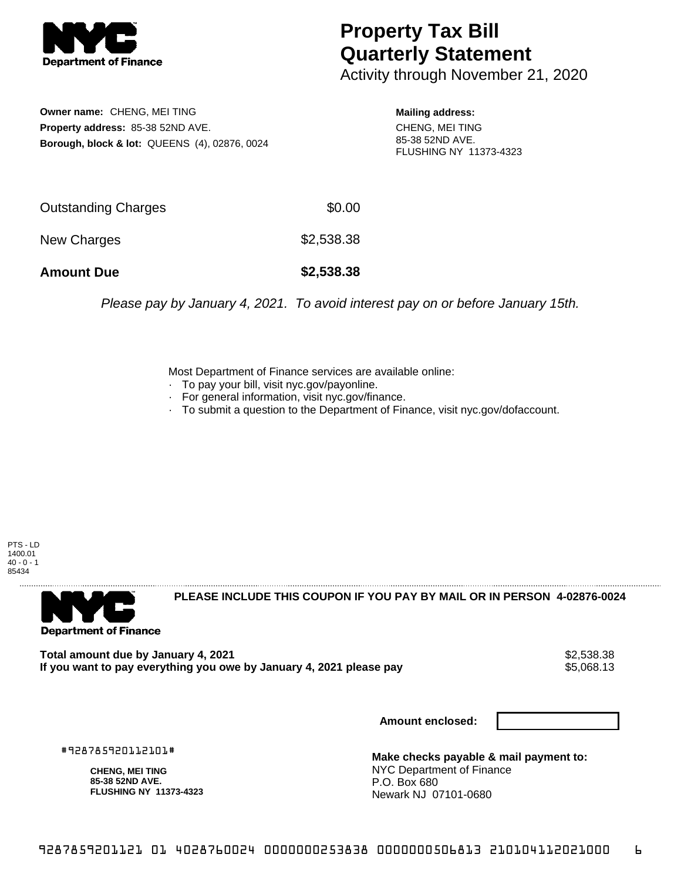

## **Property Tax Bill Quarterly Statement**

Activity through November 21, 2020

**Owner name:** CHENG, MEI TING **Property address:** 85-38 52ND AVE. **Borough, block & lot:** QUEENS (4), 02876, 0024

**Mailing address:** CHENG, MEI TING 85-38 52ND AVE. FLUSHING NY 11373-4323

| <b>Amount Due</b>   | \$2,538.38 |
|---------------------|------------|
| New Charges         | \$2,538.38 |
| Outstanding Charges | \$0.00     |

Please pay by January 4, 2021. To avoid interest pay on or before January 15th.

Most Department of Finance services are available online:

- · To pay your bill, visit nyc.gov/payonline.
- For general information, visit nyc.gov/finance.
- · To submit a question to the Department of Finance, visit nyc.gov/dofaccount.

PTS - LD 1400.01  $40 - 0 - 1$ 85434



**PLEASE INCLUDE THIS COUPON IF YOU PAY BY MAIL OR IN PERSON 4-02876-0024** 

**Total amount due by January 4, 2021**<br>If you want to pay everything you owe by January 4, 2021 please pay **strategy of the State of the State State** If you want to pay everything you owe by January 4, 2021 please pay

**Amount enclosed:**

#928785920112101#

**CHENG, MEI TING 85-38 52ND AVE. FLUSHING NY 11373-4323**

**Make checks payable & mail payment to:** NYC Department of Finance P.O. Box 680 Newark NJ 07101-0680